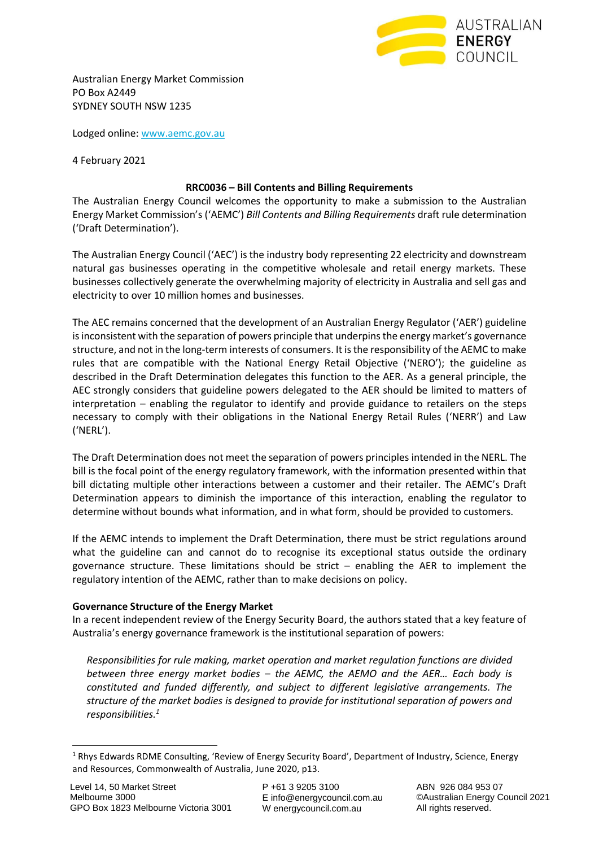

Australian Energy Market Commission PO Box A2449 SYDNEY SOUTH NSW 1235

Lodged online[: www.aemc.gov.au](http://www.aemc.gov.au/)

4 February 2021

## **RRC0036 – Bill Contents and Billing Requirements**

The Australian Energy Council welcomes the opportunity to make a submission to the Australian Energy Market Commission's ('AEMC') *Bill Contents and Billing Requirements* draft rule determination ('Draft Determination').

The Australian Energy Council ('AEC') is the industry body representing 22 electricity and downstream natural gas businesses operating in the competitive wholesale and retail energy markets. These businesses collectively generate the overwhelming majority of electricity in Australia and sell gas and electricity to over 10 million homes and businesses.

The AEC remains concerned that the development of an Australian Energy Regulator ('AER') guideline is inconsistent with the separation of powers principle that underpins the energy market's governance structure, and not in the long-term interests of consumers. It is the responsibility of the AEMC to make rules that are compatible with the National Energy Retail Objective ('NERO'); the guideline as described in the Draft Determination delegates this function to the AER. As a general principle, the AEC strongly considers that guideline powers delegated to the AER should be limited to matters of interpretation – enabling the regulator to identify and provide guidance to retailers on the steps necessary to comply with their obligations in the National Energy Retail Rules ('NERR') and Law ('NERL').

The Draft Determination does not meet the separation of powers principles intended in the NERL. The bill is the focal point of the energy regulatory framework, with the information presented within that bill dictating multiple other interactions between a customer and their retailer. The AEMC's Draft Determination appears to diminish the importance of this interaction, enabling the regulator to determine without bounds what information, and in what form, should be provided to customers.

If the AEMC intends to implement the Draft Determination, there must be strict regulations around what the guideline can and cannot do to recognise its exceptional status outside the ordinary governance structure. These limitations should be strict – enabling the AER to implement the regulatory intention of the AEMC, rather than to make decisions on policy.

### **Governance Structure of the Energy Market**

In a recent independent review of the Energy Security Board, the authors stated that a key feature of Australia's energy governance framework is the institutional separation of powers:

*Responsibilities for rule making, market operation and market regulation functions are divided between three energy market bodies – the AEMC, the AEMO and the AER… Each body is constituted and funded differently, and subject to different legislative arrangements. The structure of the market bodies is designed to provide for institutional separation of powers and responsibilities.<sup>1</sup>*

<sup>1</sup> Rhys Edwards RDME Consulting, 'Review of Energy Security Board', Department of Industry, Science, Energy and Resources, Commonwealth of Australia, June 2020, p13.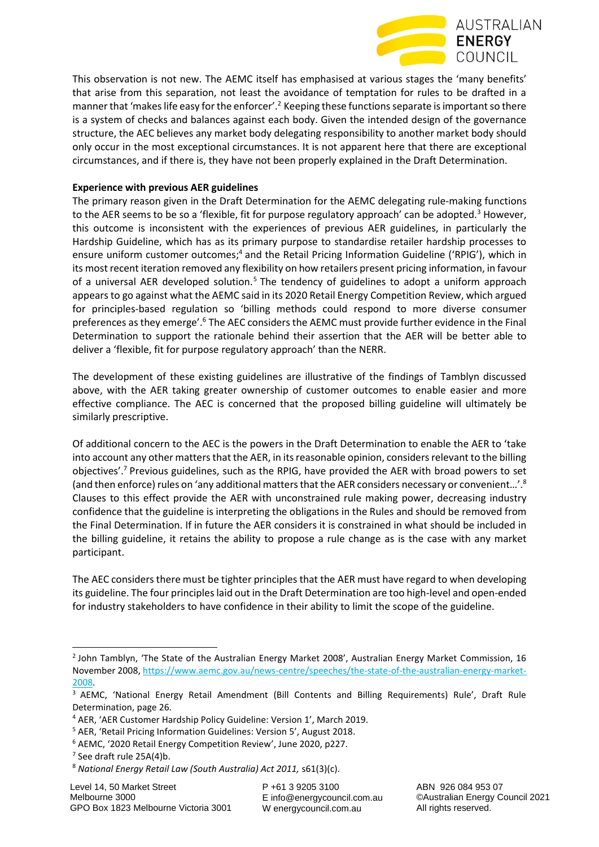

This observation is not new. The AEMC itself has emphasised at various stages the 'many benefits' that arise from this separation, not least the avoidance of temptation for rules to be drafted in a manner that 'makes life easy for the enforcer'.<sup>2</sup> Keeping these functions separate is important so there is a system of checks and balances against each body. Given the intended design of the governance structure, the AEC believes any market body delegating responsibility to another market body should only occur in the most exceptional circumstances. It is not apparent here that there are exceptional circumstances, and if there is, they have not been properly explained in the Draft Determination.

# **Experience with previous AER guidelines**

The primary reason given in the Draft Determination for the AEMC delegating rule-making functions to the AER seems to be so a 'flexible, fit for purpose regulatory approach' can be adopted.<sup>3</sup> However, this outcome is inconsistent with the experiences of previous AER guidelines, in particularly the Hardship Guideline, which has as its primary purpose to standardise retailer hardship processes to ensure uniform customer outcomes;<sup>4</sup> and the Retail Pricing Information Guideline ('RPIG'), which in its most recent iteration removed any flexibility on how retailers present pricing information, in favour of a universal AER developed solution.<sup>5</sup> The tendency of guidelines to adopt a uniform approach appears to go against what the AEMC said in its 2020 Retail Energy Competition Review, which argued for principles-based regulation so 'billing methods could respond to more diverse consumer preferences as they emerge'.<sup>6</sup> The AEC considers the AEMC must provide further evidence in the Final Determination to support the rationale behind their assertion that the AER will be better able to deliver a 'flexible, fit for purpose regulatory approach' than the NERR.

The development of these existing guidelines are illustrative of the findings of Tamblyn discussed above, with the AER taking greater ownership of customer outcomes to enable easier and more effective compliance. The AEC is concerned that the proposed billing guideline will ultimately be similarly prescriptive.

Of additional concern to the AEC is the powers in the Draft Determination to enable the AER to 'take into account any other matters that the AER, in its reasonable opinion, considers relevant to the billing objectives'.<sup>7</sup> Previous guidelines, such as the RPIG, have provided the AER with broad powers to set (and then enforce) rules on 'any additional matters that the AER considers necessary or convenient…'.<sup>8</sup> Clauses to this effect provide the AER with unconstrained rule making power, decreasing industry confidence that the guideline is interpreting the obligations in the Rules and should be removed from the Final Determination. If in future the AER considers it is constrained in what should be included in the billing guideline, it retains the ability to propose a rule change as is the case with any market participant.

The AEC considers there must be tighter principles that the AER must have regard to when developing its guideline. The four principles laid out in the Draft Determination are too high-level and open-ended for industry stakeholders to have confidence in their ability to limit the scope of the guideline.

P +61 3 9205 3100 E info@energycouncil.com.au W energycouncil.com.au

<sup>&</sup>lt;sup>2</sup> John Tamblyn, 'The State of the Australian Energy Market 2008', Australian Energy Market Commission, 16 November 2008, [https://www.aemc.gov.au/news-centre/speeches/the-state-of-the-australian-energy-market-](https://www.aemc.gov.au/news-centre/speeches/the-state-of-the-australian-energy-market-2008)[2008.](https://www.aemc.gov.au/news-centre/speeches/the-state-of-the-australian-energy-market-2008) 

<sup>&</sup>lt;sup>3</sup> AEMC, 'National Energy Retail Amendment (Bill Contents and Billing Requirements) Rule', Draft Rule Determination, page 26.

<sup>4</sup> AER, 'AER Customer Hardship Policy Guideline: Version 1', March 2019.

<sup>5</sup> AER, 'Retail Pricing Information Guidelines: Version 5', August 2018.

<sup>6</sup> AEMC, '2020 Retail Energy Competition Review', June 2020, p227.

<sup>7</sup> See draft rule 25A(4)b.

<sup>8</sup> *National Energy Retail Law (South Australia) Act 2011,* s61(3)(c).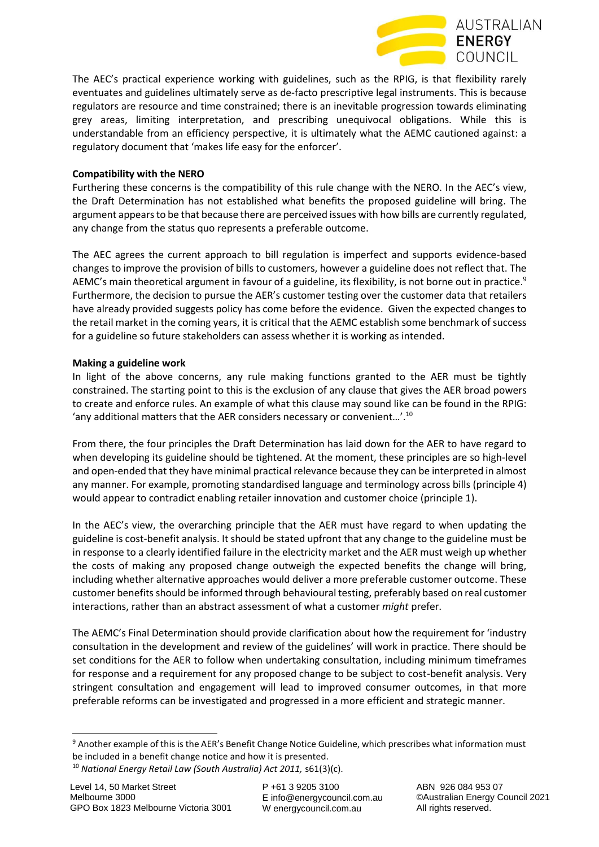

The AEC's practical experience working with guidelines, such as the RPIG, is that flexibility rarely eventuates and guidelines ultimately serve as de-facto prescriptive legal instruments. This is because regulators are resource and time constrained; there is an inevitable progression towards eliminating grey areas, limiting interpretation, and prescribing unequivocal obligations. While this is understandable from an efficiency perspective, it is ultimately what the AEMC cautioned against: a regulatory document that 'makes life easy for the enforcer'.

# **Compatibility with the NERO**

Furthering these concerns is the compatibility of this rule change with the NERO. In the AEC's view, the Draft Determination has not established what benefits the proposed guideline will bring. The argument appears to be that because there are perceived issues with how bills are currently regulated, any change from the status quo represents a preferable outcome.

The AEC agrees the current approach to bill regulation is imperfect and supports evidence-based changes to improve the provision of bills to customers, however a guideline does not reflect that. The AEMC's main theoretical argument in favour of a guideline, its flexibility, is not borne out in practice.<sup>9</sup> Furthermore, the decision to pursue the AER's customer testing over the customer data that retailers have already provided suggests policy has come before the evidence. Given the expected changes to the retail market in the coming years, it is critical that the AEMC establish some benchmark of success for a guideline so future stakeholders can assess whether it is working as intended.

# **Making a guideline work**

In light of the above concerns, any rule making functions granted to the AER must be tightly constrained. The starting point to this is the exclusion of any clause that gives the AER broad powers to create and enforce rules. An example of what this clause may sound like can be found in the RPIG: 'any additional matters that the AER considers necessary or convenient…'.<sup>10</sup>

From there, the four principles the Draft Determination has laid down for the AER to have regard to when developing its guideline should be tightened. At the moment, these principles are so high-level and open-ended that they have minimal practical relevance because they can be interpreted in almost any manner. For example, promoting standardised language and terminology across bills (principle 4) would appear to contradict enabling retailer innovation and customer choice (principle 1).

In the AEC's view, the overarching principle that the AER must have regard to when updating the guideline is cost-benefit analysis. It should be stated upfront that any change to the guideline must be in response to a clearly identified failure in the electricity market and the AER must weigh up whether the costs of making any proposed change outweigh the expected benefits the change will bring, including whether alternative approaches would deliver a more preferable customer outcome. These customer benefits should be informed through behavioural testing, preferably based on real customer interactions, rather than an abstract assessment of what a customer *might* prefer.

The AEMC's Final Determination should provide clarification about how the requirement for 'industry consultation in the development and review of the guidelines' will work in practice. There should be set conditions for the AER to follow when undertaking consultation, including minimum timeframes for response and a requirement for any proposed change to be subject to cost-benefit analysis. Very stringent consultation and engagement will lead to improved consumer outcomes, in that more preferable reforms can be investigated and progressed in a more efficient and strategic manner.

<sup>&</sup>lt;sup>9</sup> Another example of this is the AER's Benefit Change Notice Guideline, which prescribes what information must be included in a benefit change notice and how it is presented.

<sup>10</sup> *National Energy Retail Law (South Australia) Act 2011,* s61(3)(c).